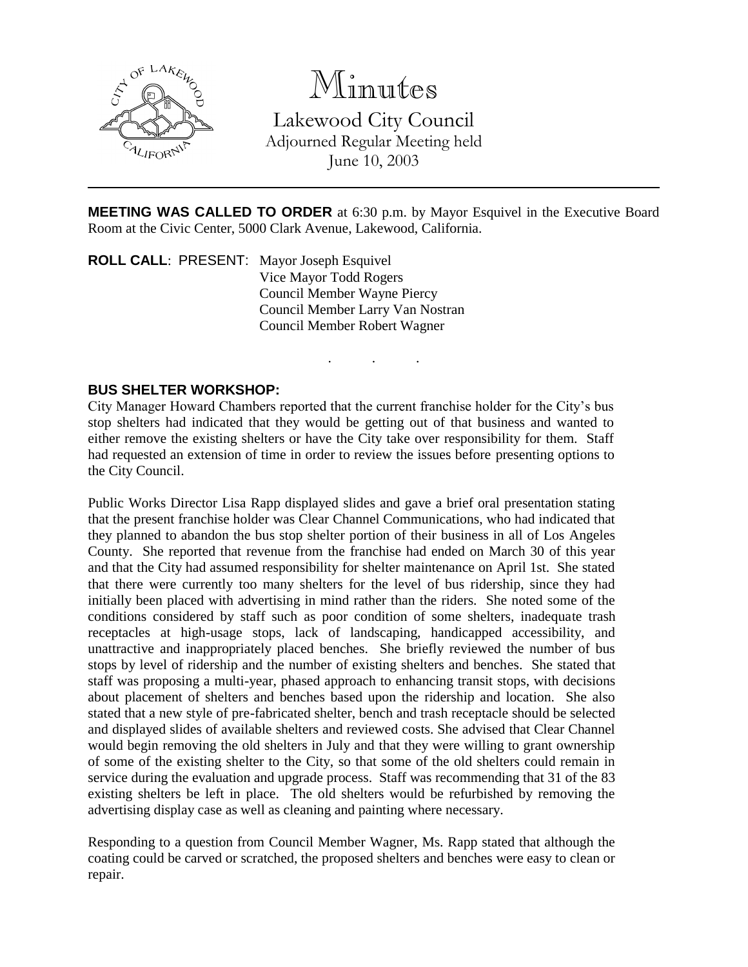

# Minutes

Lakewood City Council Adjourned Regular Meeting held June 10, 2003

**MEETING WAS CALLED TO ORDER** at 6:30 p.m. by Mayor Esquivel in the Executive Board Room at the Civic Center, 5000 Clark Avenue, Lakewood, California.

. . .

**ROLL CALL**: PRESENT: Mayor Joseph Esquivel Vice Mayor Todd Rogers Council Member Wayne Piercy Council Member Larry Van Nostran Council Member Robert Wagner

### **BUS SHELTER WORKSHOP:**

City Manager Howard Chambers reported that the current franchise holder for the City's bus stop shelters had indicated that they would be getting out of that business and wanted to either remove the existing shelters or have the City take over responsibility for them. Staff had requested an extension of time in order to review the issues before presenting options to the City Council.

Public Works Director Lisa Rapp displayed slides and gave a brief oral presentation stating that the present franchise holder was Clear Channel Communications, who had indicated that they planned to abandon the bus stop shelter portion of their business in all of Los Angeles County. She reported that revenue from the franchise had ended on March 30 of this year and that the City had assumed responsibility for shelter maintenance on April 1st. She stated that there were currently too many shelters for the level of bus ridership, since they had initially been placed with advertising in mind rather than the riders. She noted some of the conditions considered by staff such as poor condition of some shelters, inadequate trash receptacles at high-usage stops, lack of landscaping, handicapped accessibility, and unattractive and inappropriately placed benches. She briefly reviewed the number of bus stops by level of ridership and the number of existing shelters and benches. She stated that staff was proposing a multi-year, phased approach to enhancing transit stops, with decisions about placement of shelters and benches based upon the ridership and location. She also stated that a new style of pre-fabricated shelter, bench and trash receptacle should be selected and displayed slides of available shelters and reviewed costs. She advised that Clear Channel would begin removing the old shelters in July and that they were willing to grant ownership of some of the existing shelter to the City, so that some of the old shelters could remain in service during the evaluation and upgrade process. Staff was recommending that 31 of the 83 existing shelters be left in place. The old shelters would be refurbished by removing the advertising display case as well as cleaning and painting where necessary.

Responding to a question from Council Member Wagner, Ms. Rapp stated that although the coating could be carved or scratched, the proposed shelters and benches were easy to clean or repair.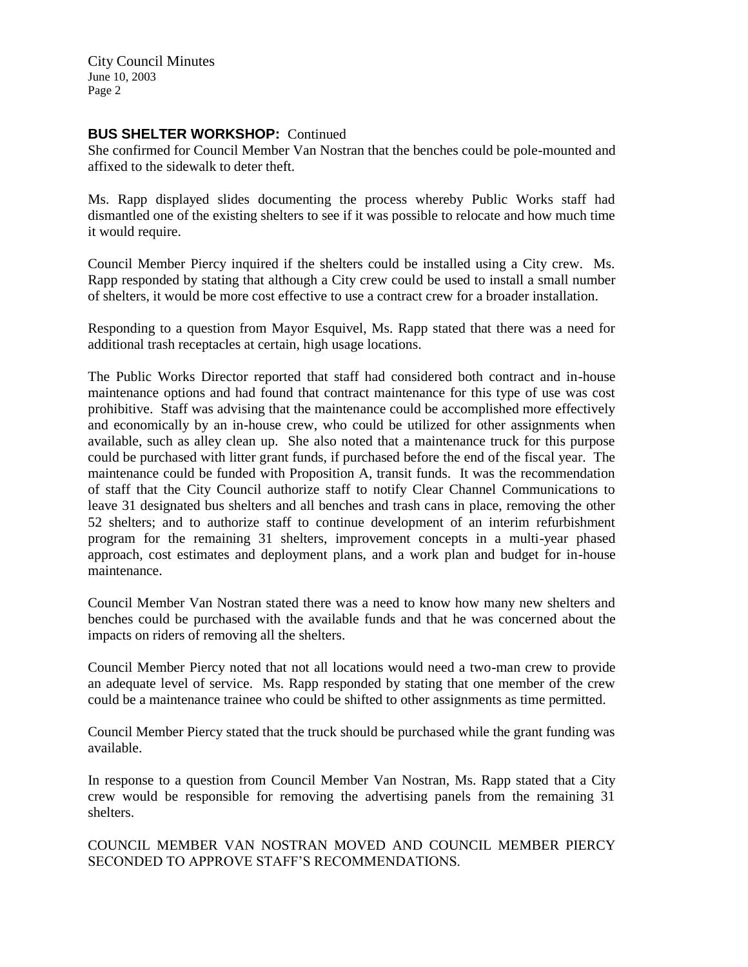City Council Minutes June 10, 2003 Page 2

## **BUS SHELTER WORKSHOP:** Continued

She confirmed for Council Member Van Nostran that the benches could be pole-mounted and affixed to the sidewalk to deter theft.

Ms. Rapp displayed slides documenting the process whereby Public Works staff had dismantled one of the existing shelters to see if it was possible to relocate and how much time it would require.

Council Member Piercy inquired if the shelters could be installed using a City crew. Ms. Rapp responded by stating that although a City crew could be used to install a small number of shelters, it would be more cost effective to use a contract crew for a broader installation.

Responding to a question from Mayor Esquivel, Ms. Rapp stated that there was a need for additional trash receptacles at certain, high usage locations.

The Public Works Director reported that staff had considered both contract and in-house maintenance options and had found that contract maintenance for this type of use was cost prohibitive. Staff was advising that the maintenance could be accomplished more effectively and economically by an in-house crew, who could be utilized for other assignments when available, such as alley clean up. She also noted that a maintenance truck for this purpose could be purchased with litter grant funds, if purchased before the end of the fiscal year. The maintenance could be funded with Proposition A, transit funds. It was the recommendation of staff that the City Council authorize staff to notify Clear Channel Communications to leave 31 designated bus shelters and all benches and trash cans in place, removing the other 52 shelters; and to authorize staff to continue development of an interim refurbishment program for the remaining 31 shelters, improvement concepts in a multi-year phased approach, cost estimates and deployment plans, and a work plan and budget for in-house maintenance.

Council Member Van Nostran stated there was a need to know how many new shelters and benches could be purchased with the available funds and that he was concerned about the impacts on riders of removing all the shelters.

Council Member Piercy noted that not all locations would need a two-man crew to provide an adequate level of service. Ms. Rapp responded by stating that one member of the crew could be a maintenance trainee who could be shifted to other assignments as time permitted.

Council Member Piercy stated that the truck should be purchased while the grant funding was available.

In response to a question from Council Member Van Nostran, Ms. Rapp stated that a City crew would be responsible for removing the advertising panels from the remaining 31 shelters.

COUNCIL MEMBER VAN NOSTRAN MOVED AND COUNCIL MEMBER PIERCY SECONDED TO APPROVE STAFF'S RECOMMENDATIONS.